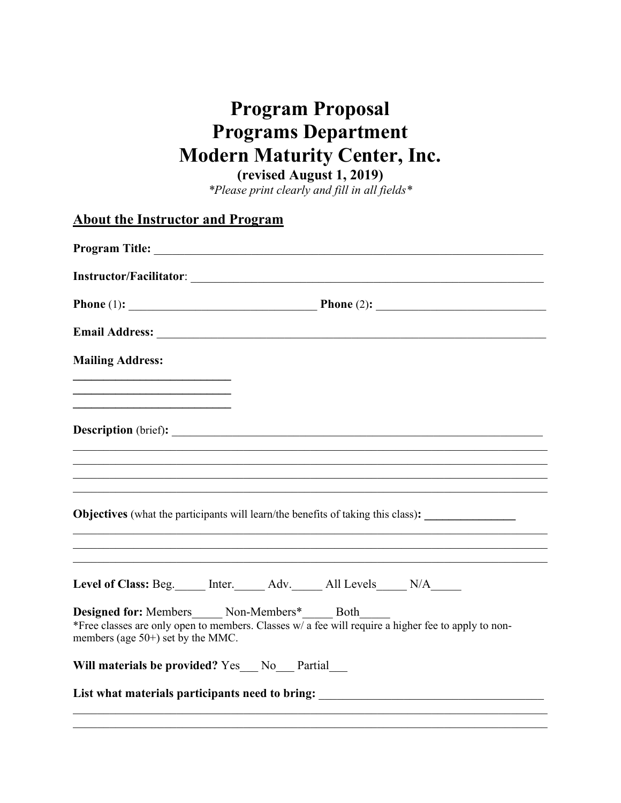# **Program Proposal Programs Department Modern Maturity Center, Inc.**

**(revised August 1, 2019)**

*\*Please print clearly and fill in all fields\**

| <b>About the Instructor and Program</b>                                                                                                                                                            |  |
|----------------------------------------------------------------------------------------------------------------------------------------------------------------------------------------------------|--|
|                                                                                                                                                                                                    |  |
|                                                                                                                                                                                                    |  |
| <b>Phone</b> (1): $\qquad \qquad$ <b>Phone</b> (2): $\qquad \qquad$                                                                                                                                |  |
|                                                                                                                                                                                                    |  |
| <b>Mailing Address:</b>                                                                                                                                                                            |  |
|                                                                                                                                                                                                    |  |
| ,我们也不能在这里的时候,我们也不能在这里的时候,我们也不能会在这里的时候,我们也不能会在这里的时候,我们也不能会在这里的时候,我们也不能会在这里的时候,我们也不                                                                                                                  |  |
|                                                                                                                                                                                                    |  |
| Objectives (what the participants will learn/the benefits of taking this class):<br><u> 1989 - Johann Stoff, amerikansk politiker (d. 1989)</u>                                                    |  |
|                                                                                                                                                                                                    |  |
| Level of Class: Beg. _____ Inter. ______ Adv. ______ All Levels _____ N/A______                                                                                                                    |  |
| Designed for: Members_____ Non-Members*_____ Both_<br>*Free classes are only open to members. Classes $w/a$ fee will require a higher fee to apply to non-<br>members (age $50+$ ) set by the MMC. |  |
| Will materials be provided? Yes No Partial                                                                                                                                                         |  |
| List what materials participants need to bring: ________________________________                                                                                                                   |  |
|                                                                                                                                                                                                    |  |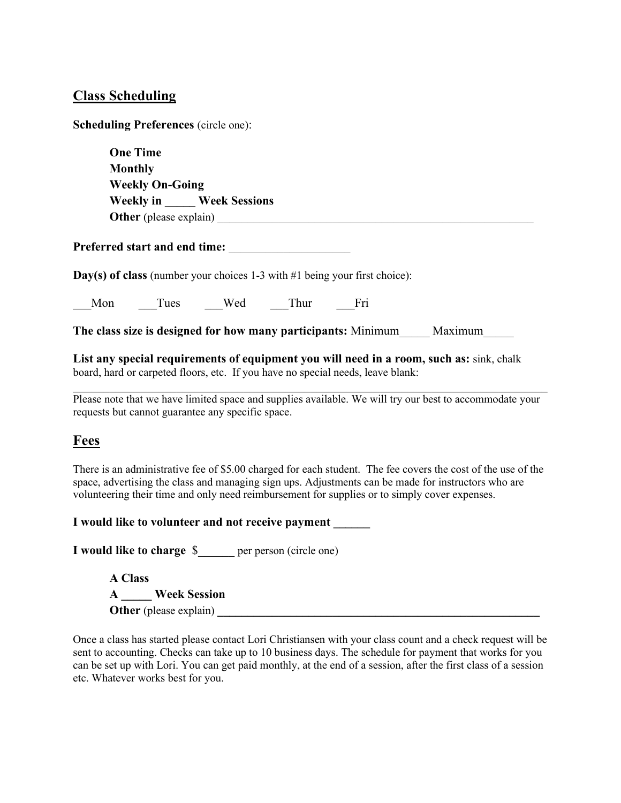#### **Class Scheduling**

**Scheduling Preferences** (circle one):

**One Time Monthly Weekly On-Going Weekly in \_\_\_\_\_ Week Sessions Other** (please explain) \_\_\_\_\_\_\_\_\_\_\_\_\_\_\_\_\_\_\_\_\_\_\_\_\_\_\_\_\_\_\_\_\_\_\_\_\_\_\_\_\_\_\_\_\_\_\_\_\_\_\_\_

Preferred start and end time:

**Day(s) of class** (number your choices 1-3 with #1 being your first choice):

Mon Tues Wed Thur Fri

**The class size is designed for how many participants:** Minimum Maximum

**List any special requirements of equipment you will need in a room, such as:** sink, chalk board, hard or carpeted floors, etc. If you have no special needs, leave blank:

Please note that we have limited space and supplies available. We will try our best to accommodate your requests but cannot guarantee any specific space.

## **Fees**

There is an administrative fee of \$5.00 charged for each student. The fee covers the cost of the use of the space, advertising the class and managing sign ups. Adjustments can be made for instructors who are volunteering their time and only need reimbursement for supplies or to simply cover expenses.

**I** would like to volunteer and not receive payment

**I would like to charge** \$\_\_\_\_\_\_ per person (circle one)

**A Class A \_\_\_\_\_ Week Session Other** (please explain)

Once a class has started please contact Lori Christiansen with your class count and a check request will be sent to accounting. Checks can take up to 10 business days. The schedule for payment that works for you can be set up with Lori. You can get paid monthly, at the end of a session, after the first class of a session etc. Whatever works best for you.